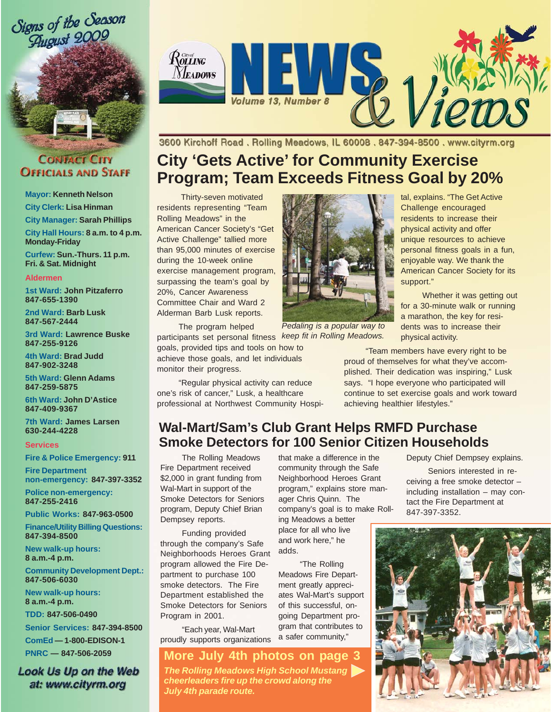

#### **CONTACT CITY OFFICIALS AND STAFF**

**Mayor: Kenneth Nelson**

**City Clerk: Lisa Hinman**

**City Manager: Sarah Phillips**

**City Hall Hours: 8 a.m. to 4 p.m. Monday-Friday**

**Curfew: Sun.-Thurs. 11 p.m. Fri. & Sat. Midnight**

#### **Aldermen**

**1st Ward: John Pitzaferro 847-655-1390**

**2nd Ward: Barb Lusk 847-567-2444**

**3rd Ward: Lawrence Buske 847-255-9126**

**4th Ward: Brad Judd 847-902-3248**

**5th Ward: Glenn Adams 847-259-5875**

**6th Ward: John D'Astice 847-409-9367**

**7th Ward: James Larsen 630-244-4228**

#### **Services**

**Fire & Police Emergency: 911**

**Fire Department non-emergency: 847-397-3352**

**Police non-emergency: 847-255-2416**

**Public Works: 847-963-0500**

**Finance/Utility Billing Questions: 847-394-8500**

**New walk-up hours: 8 a.m.-4 p.m.**

**Community Development Dept.: 847-506-6030**

**New walk-up hours: 8 a.m.-4 p.m.**

**TDD: 847-506-0490**

**Senior Services: 847-394-8500 ComEd — 1-800-EDISON-1 PNRC — 847-506-2059**

**Look Us Up on the Web** at: www.cityrm.org



3600 Kirchoff Road. Rolling Meadows, IL 60008. 847-394-8500. www.cityrm.org

# **City 'Gets Active' for Community Exercise Program; Team Exceeds Fitness Goal by 20%**

 Thirty-seven motivated residents representing "Team Rolling Meadows" in the American Cancer Society's "Get Active Challenge" tallied more than 95,000 minutes of exercise during the 10-week online exercise management program, surpassing the team's goal by 20%, Cancer Awareness Committee Chair and Ward 2 Alderman Barb Lusk reports.

The program helped

participants set personal fitness goals, provided tips and tools on how to achieve those goals, and let individuals monitor their progress.

"Regular physical activity can reduce one's risk of cancer," Lusk, a healthcare professional at Northwest Community Hospi-



*Pedaling is a popular way to keep fit in Rolling Meadows.*

"Team members have every right to be proud of themselves for what they've accomplished. Their dedication was inspiring," Lusk says. "I hope everyone who participated will continue to set exercise goals and work toward achieving healthier lifestyles."

physical activity.

support."

tal, explains. "The Get Active Challenge encouraged residents to increase their physical activity and offer unique resources to achieve personal fitness goals in a fun, enjoyable way. We thank the American Cancer Society for its

Whether it was getting out for a 30-minute walk or running a marathon, the key for residents was to increase their

## **Wal-Mart/Sam's Club Grant Helps RMFD Purchase Smoke Detectors for 100 Senior Citizen Households**

The Rolling Meadows Fire Department received \$2,000 in grant funding from Wal-Mart in support of the Smoke Detectors for Seniors program, Deputy Chief Brian Dempsey reports.

Funding provided through the company's Safe Neighborhoods Heroes Grant program allowed the Fire Department to purchase 100 smoke detectors. The Fire Department established the Smoke Detectors for Seniors Program in 2001.

"Each year, Wal-Mart proudly supports organizations

#### **More July 4th photos on page 3**

*The Rolling Meadows High School Mustang cheerleaders fire up the crowd along the July 4th parade route.*

that make a difference in the community through the Safe Neighborhood Heroes Grant program," explains store manager Chris Quinn. The company's goal is to make Rolling Meadows a better place for all who live and work here," he adds.

"The Rolling Meadows Fire Department greatly appreciates Wal-Mart's support of this successful, ongoing Department program that contributes to a safer community,"

Deputy Chief Dempsey explains.

Seniors interested in receiving a free smoke detector – including installation – may contact the Fire Department at 847-397-3352.

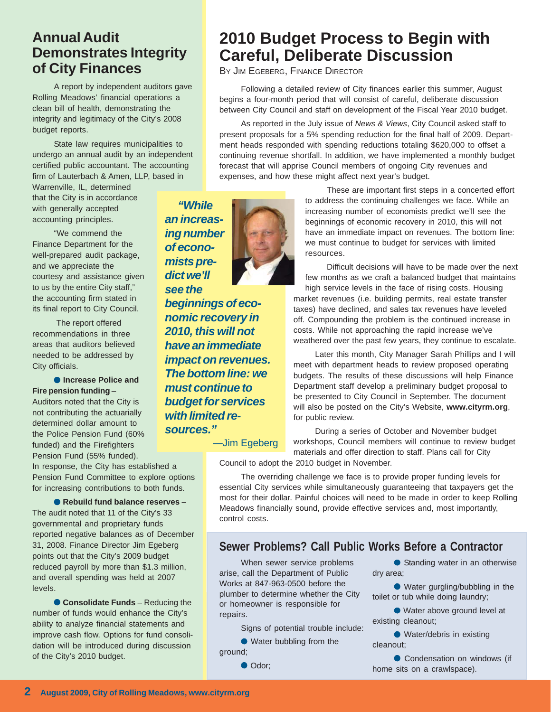### **Annual Audit Demonstrates Integrity of City Finances**

A report by independent auditors gave Rolling Meadows' financial operations a clean bill of health, demonstrating the integrity and legitimacy of the City's 2008 budget reports.

State law requires municipalities to undergo an annual audit by an independent certified public accountant. The accounting firm of Lauterbach & Amen, LLP, based in

Warrenville, IL, determined that the City is in accordance with generally accepted accounting principles.

"We commend the Finance Department for the well-prepared audit package, and we appreciate the courtesy and assistance given to us by the entire City staff," the accounting firm stated in its final report to City Council.

 The report offered recommendations in three areas that auditors believed needed to be addressed by City officials.

● **Increase Police and Fire pension funding** –

Auditors noted that the City is not contributing the actuarially determined dollar amount to the Police Pension Fund (60% funded) and the Firefighters Pension Fund (55% funded).

In response, the City has established a Pension Fund Committee to explore options for increasing contributions to both funds.

● **Rebuild fund balance reserves** – The audit noted that 11 of the City's 33 governmental and proprietary funds reported negative balances as of December 31, 2008. Finance Director Jim Egeberg points out that the City's 2009 budget reduced payroll by more than \$1.3 million, and overall spending was held at 2007 levels.

**Consolidate Funds** – Reducing the number of funds would enhance the City's ability to analyze financial statements and improve cash flow. Options for fund consolidation will be introduced during discussion of the City's 2010 budget.

# **2010 Budget Process to Begin with Careful, Deliberate Discussion**

BY JIM EGEBERG, FINANCE DIRECTOR

Following a detailed review of City finances earlier this summer, August begins a four-month period that will consist of careful, deliberate discussion between City Council and staff on development of the Fiscal Year 2010 budget.

As reported in the July issue of *News & Views*, City Council asked staff to present proposals for a 5% spending reduction for the final half of 2009. Department heads responded with spending reductions totaling \$620,000 to offset a continuing revenue shortfall. In addition, we have implemented a monthly budget forecast that will apprise Council members of ongoing City revenues and expenses, and how these might affect next year's budget.

*"While an increasing number of economists predict we'll see the*



—Jim Egeberg

These are important first steps in a concerted effort to address the continuing challenges we face. While an increasing number of economists predict we'll see the beginnings of economic recovery in 2010, this will not have an immediate impact on revenues. The bottom line: we must continue to budget for services with limited resources.

Difficult decisions will have to be made over the next few months as we craft a balanced budget that maintains high service levels in the face of rising costs. Housing market revenues (i.e. building permits, real estate transfer taxes) have declined, and sales tax revenues have leveled off. Compounding the problem is the continued increase in costs. While not approaching the rapid increase we've weathered over the past few years, they continue to escalate.

Later this month, City Manager Sarah Phillips and I will meet with department heads to review proposed operating budgets. The results of these discussions will help Finance Department staff develop a preliminary budget proposal to be presented to City Council in September. The document will also be posted on the City's Website, **www.cityrm.org**, for public review.

During a series of October and November budget workshops, Council members will continue to review budget materials and offer direction to staff. Plans call for City

Council to adopt the 2010 budget in November.

The overriding challenge we face is to provide proper funding levels for essential City services while simultaneously guaranteeing that taxpayers get the most for their dollar. Painful choices will need to be made in order to keep Rolling Meadows financially sound, provide effective services and, most importantly, control costs.

### **Sewer Problems? Call Public Works Before a Contractor**

When sewer service problems arise, call the Department of Public Works at 847-963-0500 before the plumber to determine whether the City or homeowner is responsible for repairs.

Signs of potential trouble include:

● Water bubbling from the

ground;

● Odor:

● Standing water in an otherwise dry area;

● Water gurgling/bubbling in the toilet or tub while doing laundry;

● Water above ground level at existing cleanout;

● Water/debris in existing cleanout;

● Condensation on windows (if home sits on a crawlspace).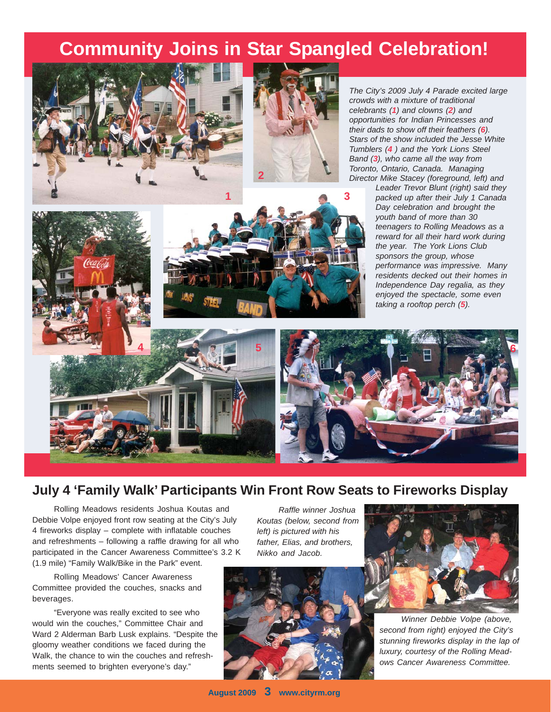# **Community Joins in Star Spangled Celebration!**





*The City's 2009 July 4 Parade excited large crowds with a mixture of traditional celebrants (1) and clowns (2) and opportunities for Indian Princesses and their dads to show off their feathers (6). Stars of the show included the Jesse White Tumblers (4 ) and the York Lions Steel Band (3), who came all the way from Toronto, Ontario, Canada. Managing Director Mike Stacey (foreground, left) and*

> *Leader Trevor Blunt (right) said they packed up after their July 1 Canada Day celebration and brought the youth band of more than 30 teenagers to Rolling Meadows as a reward for all their hard work during the year. The York Lions Club sponsors the group, whose performance was impressive. Many residents decked out their homes in Independence Day regalia, as they enjoyed the spectacle, some even taking a rooftop perch (5).*





### **July 4 'Family Walk' Participants Win Front Row Seats to Fireworks Display**

Rolling Meadows residents Joshua Koutas and Debbie Volpe enjoyed front row seating at the City's July 4 fireworks display – complete with inflatable couches and refreshments – following a raffle drawing for all who participated in the Cancer Awareness Committee's 3.2 K (1.9 mile) "Family Walk/Bike in the Park" event.

Rolling Meadows' Cancer Awareness Committee provided the couches, snacks and beverages.

"Everyone was really excited to see who would win the couches," Committee Chair and Ward 2 Alderman Barb Lusk explains. "Despite the gloomy weather conditions we faced during the Walk, the chance to win the couches and refreshments seemed to brighten everyone's day."

*Raffle winner Joshua Koutas (below, second from left) is pictured with his father, Elias, and brothers, Nikko and Jacob.*



*Winner Debbie Volpe (above, second from right) enjoyed the City's stunning fireworks display in the lap of luxury, courtesy of the Rolling Meadows Cancer Awareness Committee.*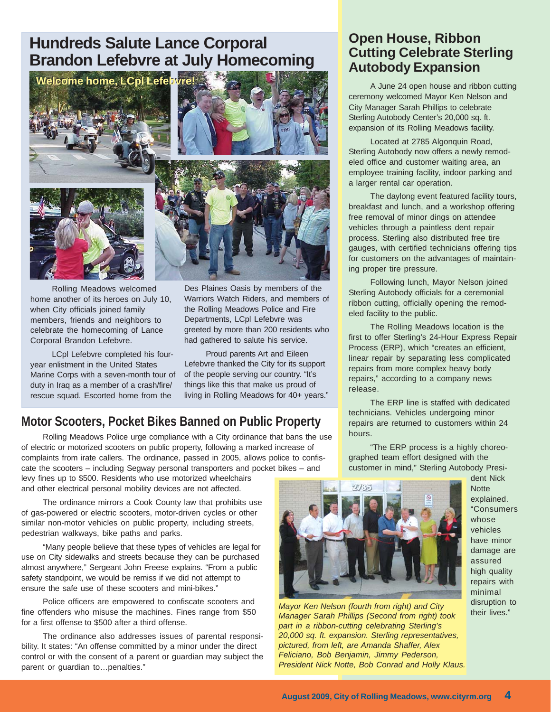# **Hundreds Salute Lance Corporal Brandon Lefebvre at July Homecoming**



Rolling Meadows welcomed home another of its heroes on July 10, when City officials joined family members, friends and neighbors to celebrate the homecoming of Lance Corporal Brandon Lefebvre.

LCpl Lefebvre completed his fouryear enlistment in the United States Marine Corps with a seven-month tour of duty in Iraq as a member of a crash/fire/ rescue squad. Escorted home from the

Des Plaines Oasis by members of the Warriors Watch Riders, and members of the Rolling Meadows Police and Fire Departments, LCpl Lefebvre was greeted by more than 200 residents who had gathered to salute his service.

Proud parents Art and Eileen Lefebvre thanked the City for its support of the people serving our country. "It's things like this that make us proud of living in Rolling Meadows for 40+ years."

### **Motor Scooters, Pocket Bikes Banned on Public Property**

Rolling Meadows Police urge compliance with a City ordinance that bans the use of electric or motorized scooters on public property, following a marked increase of complaints from irate callers. The ordinance, passed in 2005, allows police to confiscate the scooters – including Segway personal transporters and pocket bikes – and

levy fines up to \$500. Residents who use motorized wheelchairs and other electrical personal mobility devices are not affected.

The ordinance mirrors a Cook County law that prohibits use of gas-powered or electric scooters, motor-driven cycles or other similar non-motor vehicles on public property, including streets, pedestrian walkways, bike paths and parks.

"Many people believe that these types of vehicles are legal for use on City sidewalks and streets because they can be purchased almost anywhere," Sergeant John Freese explains. "From a public safety standpoint, we would be remiss if we did not attempt to ensure the safe use of these scooters and mini-bikes."

Police officers are empowered to confiscate scooters and fine offenders who misuse the machines. Fines range from \$50 for a first offense to \$500 after a third offense.

The ordinance also addresses issues of parental responsibility. It states: "An offense committed by a minor under the direct control or with the consent of a parent or guardian may subject the parent or guardian to...penalties."

#### **Open House, Ribbon Cutting Celebrate Sterling Autobody Expansion**

A June 24 open house and ribbon cutting ceremony welcomed Mayor Ken Nelson and City Manager Sarah Phillips to celebrate Sterling Autobody Center's 20,000 sq. ft. expansion of its Rolling Meadows facility.

Located at 2785 Algonquin Road, Sterling Autobody now offers a newly remodeled office and customer waiting area, an employee training facility, indoor parking and a larger rental car operation.

The daylong event featured facility tours, breakfast and lunch, and a workshop offering free removal of minor dings on attendee vehicles through a paintless dent repair process. Sterling also distributed free tire gauges, with certified technicians offering tips for customers on the advantages of maintaining proper tire pressure.

Following lunch, Mayor Nelson joined Sterling Autobody officials for a ceremonial ribbon cutting, officially opening the remodeled facility to the public.

The Rolling Meadows location is the first to offer Sterling's 24-Hour Express Repair Process (ERP), which "creates an efficient, linear repair by separating less complicated repairs from more complex heavy body repairs," according to a company news release.

The ERP line is staffed with dedicated technicians. Vehicles undergoing minor repairs are returned to customers within 24 hours.

"The ERP process is a highly choreographed team effort designed with the customer in mind," Sterling Autobody Presi-



dent Nick **Notte** explained. "Consumers whose vehicles have minor damage are assured high quality repairs with minimal disruption to their lives."

*Mayor Ken Nelson (fourth from right) and City Manager Sarah Phillips (Second from right) took part in a ribbon-cutting celebrating Sterling's 20,000 sq. ft. expansion. Sterling representatives, pictured, from left, are Amanda Shaffer, Alex Feliciano, Bob Benjamin, Jimmy Pederson, President Nick Notte, Bob Conrad and Holly Klaus.*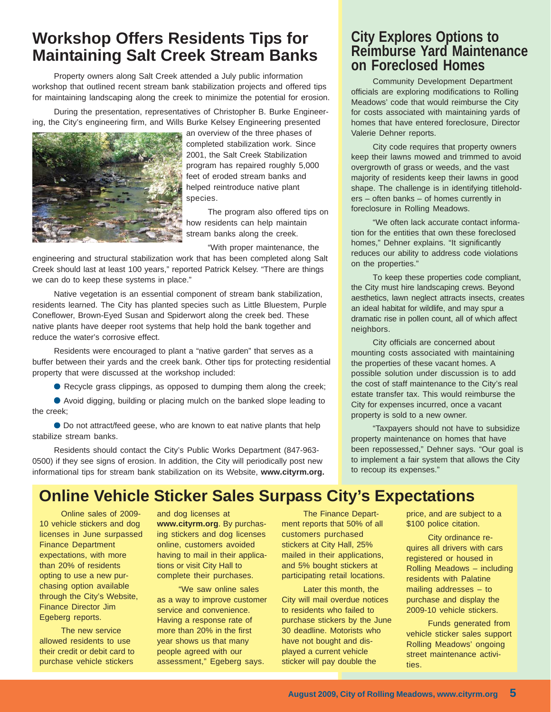# **Workshop Offers Residents Tips for Maintaining Salt Creek Stream Banks**

Property owners along Salt Creek attended a July public information workshop that outlined recent stream bank stabilization projects and offered tips for maintaining landscaping along the creek to minimize the potential for erosion.

During the presentation, representatives of Christopher B. Burke Engineering, the City's engineering firm, and Wills Burke Kelsey Engineering presented



an overview of the three phases of completed stabilization work. Since 2001, the Salt Creek Stabilization program has repaired roughly 5,000 feet of eroded stream banks and helped reintroduce native plant species.

The program also offered tips on how residents can help maintain stream banks along the creek.

"With proper maintenance, the

engineering and structural stabilization work that has been completed along Salt Creek should last at least 100 years," reported Patrick Kelsey. "There are things we can do to keep these systems in place."

Native vegetation is an essential component of stream bank stabilization, residents learned. The City has planted species such as Little Bluestem, Purple Coneflower, Brown-Eyed Susan and Spiderwort along the creek bed. These native plants have deeper root systems that help hold the bank together and reduce the water's corrosive effect.

Residents were encouraged to plant a "native garden" that serves as a buffer between their yards and the creek bank. Other tips for protecting residential property that were discussed at the workshop included:

● Recycle grass clippings, as opposed to dumping them along the creek;

● Avoid digging, building or placing mulch on the banked slope leading to the creek;

● Do not attract/feed geese, who are known to eat native plants that help stabilize stream banks.

Residents should contact the City's Public Works Department (847-963- 0500) if they see signs of erosion. In addition, the City will periodically post new informational tips for stream bank stabilization on its Website, **www.cityrm.org.**

### **City Explores Options to Reimburse Yard Maintenance on Foreclosed Homes**

Community Development Department officials are exploring modifications to Rolling Meadows' code that would reimburse the City for costs associated with maintaining yards of homes that have entered foreclosure, Director Valerie Dehner reports.

City code requires that property owners keep their lawns mowed and trimmed to avoid overgrowth of grass or weeds, and the vast majority of residents keep their lawns in good shape. The challenge is in identifying titleholders – often banks – of homes currently in foreclosure in Rolling Meadows.

"We often lack accurate contact information for the entities that own these foreclosed homes," Dehner explains. "It significantly reduces our ability to address code violations on the properties."

To keep these properties code compliant, the City must hire landscaping crews. Beyond aesthetics, lawn neglect attracts insects, creates an ideal habitat for wildlife, and may spur a dramatic rise in pollen count, all of which affect neighbors.

City officials are concerned about mounting costs associated with maintaining the properties of these vacant homes. A possible solution under discussion is to add the cost of staff maintenance to the City's real estate transfer tax. This would reimburse the City for expenses incurred, once a vacant property is sold to a new owner.

"Taxpayers should not have to subsidize property maintenance on homes that have been repossessed," Dehner says. "Our goal is to implement a fair system that allows the City to recoup its expenses."

## **Online Vehicle Sticker Sales Surpass City's Expectations**

Online sales of 2009- 10 vehicle stickers and dog licenses in June surpassed Finance Department expectations, with more than 20% of residents opting to use a new purchasing option available through the City's Website, Finance Director Jim Egeberg reports.

The new service allowed residents to use their credit or debit card to purchase vehicle stickers

and dog licenses at **www.cityrm.org**. By purchasing stickers and dog licenses online, customers avoided having to mail in their applications or visit City Hall to complete their purchases.

"We saw online sales as a way to improve customer service and convenience. Having a response rate of more than 20% in the first year shows us that many people agreed with our assessment," Egeberg says.

The Finance Department reports that 50% of all customers purchased stickers at City Hall, 25% mailed in their applications, and 5% bought stickers at participating retail locations.

Later this month, the City will mail overdue notices to residents who failed to purchase stickers by the June 30 deadline. Motorists who have not bought and displayed a current vehicle sticker will pay double the

price, and are subject to a \$100 police citation.

City ordinance requires all drivers with cars registered or housed in Rolling Meadows – including residents with Palatine mailing addresses – to purchase and display the 2009-10 vehicle stickers.

Funds generated from vehicle sticker sales support Rolling Meadows' ongoing street maintenance activities.